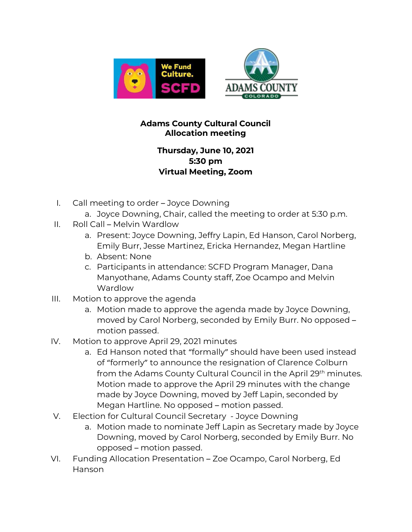

## **Adams County Cultural Council Allocation meeting**

## **Thursday, June 10, 2021 5:30 pm Virtual Meeting, Zoom**

- I. Call meeting to order Joyce Downing
	- a. Joyce Downing, Chair, called the meeting to order at 5:30 p.m.
- II. Roll Call Melvin Wardlow
	- a. Present: Joyce Downing, Jeffry Lapin, Ed Hanson, Carol Norberg, Emily Burr, Jesse Martinez, Ericka Hernandez, Megan Hartline
	- b. Absent: None
	- c. Participants in attendance: SCFD Program Manager, Dana Manyothane, Adams County staff, Zoe Ocampo and Melvin Wardlow
- III. Motion to approve the agenda
	- a. Motion made to approve the agenda made by Joyce Downing, moved by Carol Norberg, seconded by Emily Burr. No opposed – motion passed.
- IV. Motion to approve April 29, 2021 minutes
	- a. Ed Hanson noted that "formally" should have been used instead of "formerly" to announce the resignation of Clarence Colburn from the Adams County Cultural Council in the April 29<sup>th</sup> minutes. Motion made to approve the April 29 minutes with the change made by Joyce Downing, moved by Jeff Lapin, seconded by Megan Hartline. No opposed – motion passed.
- V. Election for Cultural Council Secretary Joyce Downing
	- a. Motion made to nominate Jeff Lapin as Secretary made by Joyce Downing, moved by Carol Norberg, seconded by Emily Burr. No opposed – motion passed.
- VI. Funding Allocation Presentation Zoe Ocampo, Carol Norberg, Ed Hanson